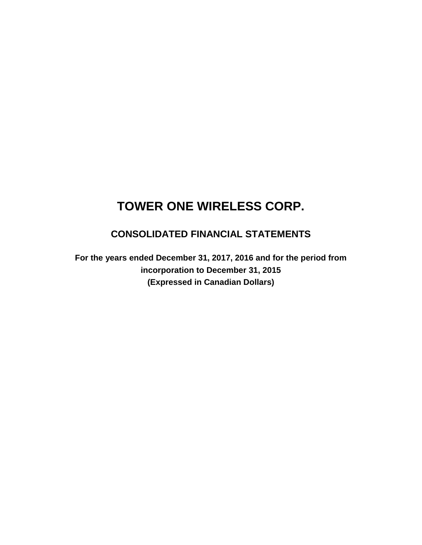## **CONSOLIDATED FINANCIAL STATEMENTS**

**For the years ended December 31, 2017, 2016 and for the period from incorporation to December 31, 2015 (Expressed in Canadian Dollars)**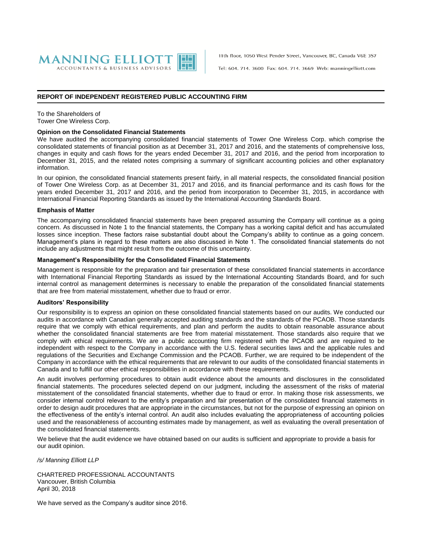

11th floor, 1050 West Pender Street, Vancouver, BC, Canada V6E 3S7

Tel: 604, 714, 3600 Fax: 604, 714, 3669 Web: manningelliott.com

#### **REPORT OF INDEPENDENT REGISTERED PUBLIC ACCOUNTING FIRM**

To the Shareholders of Tower One Wireless Corp.

#### **Opinion on the Consolidated Financial Statements**

We have audited the accompanying consolidated financial statements of Tower One Wireless Corp. which comprise the consolidated statements of financial position as at December 31, 2017 and 2016, and the statements of comprehensive loss, changes in equity and cash flows for the years ended December 31, 2017 and 2016, and the period from incorporation to December 31, 2015, and the related notes comprising a summary of significant accounting policies and other explanatory information.

In our opinion, the consolidated financial statements present fairly, in all material respects, the consolidated financial position of Tower One Wireless Corp. as at December 31, 2017 and 2016, and its financial performance and its cash flows for the years ended December 31, 2017 and 2016, and the period from incorporation to December 31, 2015, in accordance with International Financial Reporting Standards as issued by the International Accounting Standards Board.

#### **Emphasis of Matter**

The accompanying consolidated financial statements have been prepared assuming the Company will continue as a going concern. As discussed in Note 1 to the financial statements, the Company has a working capital deficit and has accumulated losses since inception. These factors raise substantial doubt about the Company's ability to continue as a going concern. Management's plans in regard to these matters are also discussed in Note 1. The consolidated financial statements do not include any adjustments that might result from the outcome of this uncertainty.

#### **Management's Responsibility for the Consolidated Financial Statements**

Management is responsible for the preparation and fair presentation of these consolidated financial statements in accordance with International Financial Reporting Standards as issued by the International Accounting Standards Board, and for such internal control as management determines is necessary to enable the preparation of the consolidated financial statements that are free from material misstatement, whether due to fraud or error.

#### **Auditors' Responsibility**

Our responsibility is to express an opinion on these consolidated financial statements based on our audits. We conducted our audits in accordance with Canadian generally accepted auditing standards and the standards of the PCAOB. Those standards require that we comply with ethical requirements, and plan and perform the audits to obtain reasonable assurance about whether the consolidated financial statements are free from material misstatement. Those standards also require that we comply with ethical requirements. We are a public accounting firm registered with the PCAOB and are required to be independent with respect to the Company in accordance with the U.S. federal securities laws and the applicable rules and regulations of the Securities and Exchange Commission and the PCAOB. Further, we are required to be independent of the Company in accordance with the ethical requirements that are relevant to our audits of the consolidated financial statements in Canada and to fulfill our other ethical responsibilities in accordance with these requirements.

An audit involves performing procedures to obtain audit evidence about the amounts and disclosures in the consolidated financial statements. The procedures selected depend on our judgment, including the assessment of the risks of material misstatement of the consolidated financial statements, whether due to fraud or error. In making those risk assessments, we consider internal control relevant to the entity's preparation and fair presentation of the consolidated financial statements in order to design audit procedures that are appropriate in the circumstances, but not for the purpose of expressing an opinion on the effectiveness of the entity's internal control. An audit also includes evaluating the appropriateness of accounting policies used and the reasonableness of accounting estimates made by management, as well as evaluating the overall presentation of the consolidated financial statements.

We believe that the audit evidence we have obtained based on our audits is sufficient and appropriate to provide a basis for our audit opinion.

*/s/ Manning Elliott LLP*

CHARTERED PROFESSIONAL ACCOUNTANTS Vancouver, British Columbia April 30, 2018

We have served as the Company's auditor since 2016.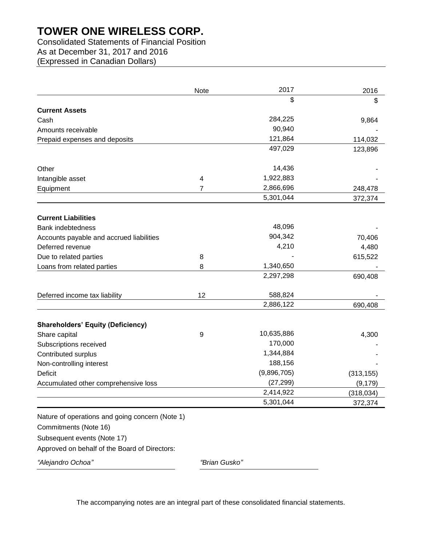## Consolidated Statements of Financial Position

As at December 31, 2017 and 2016

(Expressed in Canadian Dollars)

|                                                 | Note          | 2017        | 2016       |
|-------------------------------------------------|---------------|-------------|------------|
|                                                 |               | \$          | \$         |
| <b>Current Assets</b>                           |               |             |            |
| Cash                                            |               | 284,225     | 9,864      |
| Amounts receivable                              |               | 90,940      |            |
| Prepaid expenses and deposits                   |               | 121,864     | 114,032    |
|                                                 |               | 497,029     | 123,896    |
| Other                                           |               | 14,436      |            |
| Intangible asset                                | 4             | 1,922,883   |            |
| Equipment                                       | 7             | 2,866,696   | 248,478    |
|                                                 |               | 5,301,044   | 372,374    |
| <b>Current Liabilities</b>                      |               |             |            |
| <b>Bank indebtedness</b>                        |               | 48,096      |            |
| Accounts payable and accrued liabilities        |               | 904,342     | 70,406     |
| Deferred revenue                                |               | 4,210       | 4,480      |
| Due to related parties                          | 8             |             | 615,522    |
| Loans from related parties                      | 8             | 1,340,650   |            |
|                                                 |               | 2,297,298   | 690,408    |
| Deferred income tax liability                   | 12            | 588,824     |            |
|                                                 |               | 2,886,122   | 690,408    |
| <b>Shareholders' Equity (Deficiency)</b>        |               |             |            |
| Share capital                                   | 9             | 10,635,886  | 4,300      |
| Subscriptions received                          |               | 170,000     |            |
| Contributed surplus                             |               | 1,344,884   |            |
| Non-controlling interest                        |               | 188,156     |            |
| <b>Deficit</b>                                  |               | (9,896,705) | (313, 155) |
| Accumulated other comprehensive loss            |               | (27, 299)   | (9, 179)   |
|                                                 |               | 2,414,922   | (318, 034) |
|                                                 |               | 5,301,044   | 372,374    |
| Nature of operations and going concern (Note 1) |               |             |            |
| Commitments (Note 16)                           |               |             |            |
| Subsequent events (Note 17)                     |               |             |            |
| Approved on behalf of the Board of Directors:   |               |             |            |
| "Alejandro Ochoa"                               | "Brian Gusko" |             |            |

The accompanying notes are an integral part of these consolidated financial statements.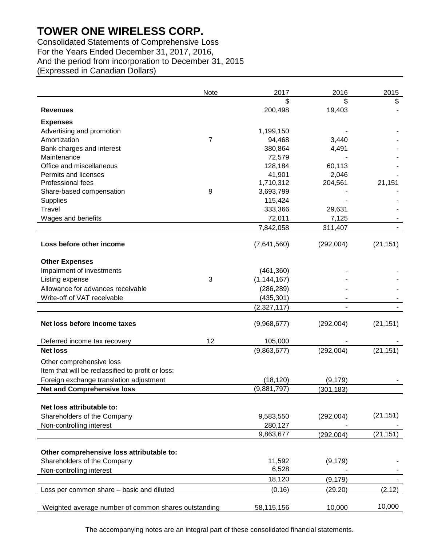Consolidated Statements of Comprehensive Loss For the Years Ended December 31, 2017, 2016, And the period from incorporation to December 31, 2015 (Expressed in Canadian Dollars)

|                                                      | Note           | 2017          | 2016       | 2015      |
|------------------------------------------------------|----------------|---------------|------------|-----------|
|                                                      |                | \$            | \$         | \$        |
| <b>Revenues</b>                                      |                | 200,498       | 19,403     |           |
| <b>Expenses</b>                                      |                |               |            |           |
| Advertising and promotion                            |                | 1,199,150     |            |           |
| Amortization                                         | $\overline{7}$ | 94,468        | 3,440      |           |
| Bank charges and interest                            |                | 380,864       | 4,491      |           |
| Maintenance                                          |                | 72,579        |            |           |
| Office and miscellaneous                             |                | 128,184       | 60,113     |           |
| Permits and licenses                                 |                | 41,901        | 2,046      |           |
| Professional fees                                    |                | 1,710,312     | 204,561    | 21,151    |
| Share-based compensation                             | 9              | 3,693,799     |            |           |
| <b>Supplies</b>                                      |                | 115,424       |            |           |
| <b>Travel</b>                                        |                | 333,366       | 29,631     |           |
| Wages and benefits                                   |                | 72,011        | 7,125      |           |
|                                                      |                | 7,842,058     | 311,407    |           |
| Loss before other income                             |                | (7,641,560)   | (292,004)  | (21, 151) |
|                                                      |                |               |            |           |
| <b>Other Expenses</b>                                |                |               |            |           |
| Impairment of investments                            | 3              | (461, 360)    |            |           |
| Listing expense<br>Allowance for advances receivable |                | (1, 144, 167) |            |           |
|                                                      |                | (286, 289)    |            |           |
| Write-off of VAT receivable                          |                | (435, 301)    |            |           |
|                                                      |                | (2,327,117)   |            |           |
| Net loss before income taxes                         |                | (9,968,677)   | (292,004)  | (21, 151) |
|                                                      | 12             |               |            |           |
| Deferred income tax recovery<br><b>Net loss</b>      |                | 105,000       |            |           |
|                                                      |                | (9,863,677)   | (292,004)  | (21, 151) |
| Other comprehensive loss                             |                |               |            |           |
| Item that will be reclassified to profit or loss:    |                |               |            |           |
| Foreign exchange translation adjustment              |                | (18, 120)     | (9, 179)   |           |
| <b>Net and Comprehensive loss</b>                    |                | (9,881,797)   | (301, 183) |           |
|                                                      |                |               |            |           |
| Net loss attributable to:                            |                |               |            |           |
| Shareholders of the Company                          |                | 9,583,550     | (292,004)  | (21, 151) |
| Non-controlling interest                             |                | 280,127       |            |           |
|                                                      |                | 9,863,677     | (292,004)  | (21, 151) |
| Other comprehensive loss attributable to:            |                |               |            |           |
| Shareholders of the Company                          |                | 11,592        | (9, 179)   |           |
| Non-controlling interest                             |                | 6,528         |            |           |
|                                                      |                | 18,120        | (9, 179)   |           |
| Loss per common share - basic and diluted            |                | (0.16)        | (29.20)    | (2.12)    |
|                                                      |                |               |            |           |
| Weighted average number of common shares outstanding |                | 58,115,156    | 10,000     | 10,000    |

The accompanying notes are an integral part of these consolidated financial statements.

10,000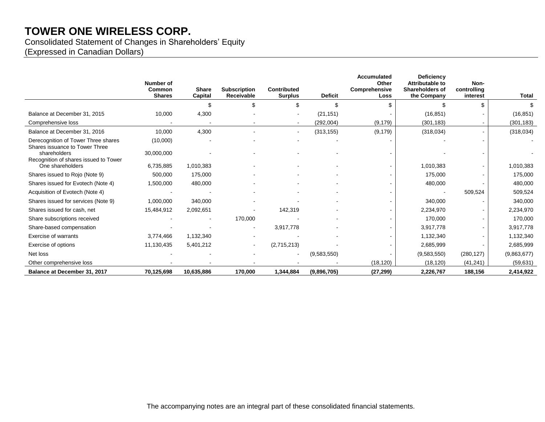Consolidated Statement of Changes in Shareholders' Equity

(Expressed in Canadian Dollars)

|                                                                       | Number of<br>Common<br><b>Shares</b> | <b>Share</b><br>Capital | <b>Subscription</b><br>Receivable | <b>Contributed</b><br><b>Surplus</b> | <b>Deficit</b> | <b>Accumulated</b><br>Other<br>Comprehensive<br>Loss | <b>Deficiency</b><br>Attributable to<br><b>Shareholders of</b><br>the Company | Non-<br>controlling<br>interest | Total       |
|-----------------------------------------------------------------------|--------------------------------------|-------------------------|-----------------------------------|--------------------------------------|----------------|------------------------------------------------------|-------------------------------------------------------------------------------|---------------------------------|-------------|
|                                                                       |                                      |                         |                                   |                                      | \$             | \$.                                                  |                                                                               | ደ                               |             |
| Balance at December 31, 2015                                          | 10,000                               | 4,300                   |                                   |                                      | (21, 151)      |                                                      | (16, 851)                                                                     |                                 | (16, 851)   |
| Comprehensive loss                                                    |                                      |                         |                                   |                                      | (292,004)      | (9, 179)                                             | (301, 183)                                                                    |                                 | (301, 183)  |
| Balance at December 31, 2016                                          | 10,000                               | 4,300                   |                                   |                                      | (313, 155)     | (9, 179)                                             | (318,034)                                                                     |                                 | (318,034)   |
| Derecognition of Tower Three shares<br>Shares issuance to Tower Three | (10,000)                             |                         |                                   |                                      |                |                                                      |                                                                               |                                 |             |
| shareholders<br>Recognition of shares issued to Tower                 | 30,000,000                           |                         |                                   |                                      |                |                                                      |                                                                               |                                 |             |
| One shareholders                                                      | 6,735,885                            | 1,010,383               |                                   |                                      |                | $\sim$                                               | 1,010,383                                                                     |                                 | 1,010,383   |
| Shares issued to Rojo (Note 9)                                        | 500,000                              | 175,000                 |                                   |                                      |                |                                                      | 175,000                                                                       |                                 | 175,000     |
| Shares issued for Evotech (Note 4)                                    | 1,500,000                            | 480,000                 |                                   |                                      |                |                                                      | 480,000                                                                       |                                 | 480,000     |
| Acquisition of Evotech (Note 4)                                       |                                      |                         |                                   |                                      |                |                                                      |                                                                               | 509,524                         | 509,524     |
| Shares issued for services (Note 9)                                   | 1,000,000                            | 340,000                 |                                   |                                      |                |                                                      | 340,000                                                                       |                                 | 340,000     |
| Shares issued for cash, net                                           | 15,484,912                           | 2,092,651               |                                   | 142,319                              |                |                                                      | 2,234,970                                                                     |                                 | 2,234,970   |
| Share subscriptions received                                          |                                      |                         | 170,000                           |                                      |                |                                                      | 170,000                                                                       |                                 | 170,000     |
| Share-based compensation                                              |                                      |                         | $\sim$                            | 3,917,778                            |                |                                                      | 3,917,778                                                                     |                                 | 3,917,778   |
| Exercise of warrants                                                  | 3,774,466                            | 1,132,340               |                                   |                                      |                |                                                      | 1,132,340                                                                     |                                 | 1,132,340   |
| Exercise of options                                                   | 11,130,435                           | 5,401,212               |                                   | (2,715,213)                          |                |                                                      | 2,685,999                                                                     |                                 | 2,685,999   |
| Net loss                                                              |                                      |                         |                                   |                                      | (9,583,550)    |                                                      | (9,583,550)                                                                   | (280, 127)                      | (9,863,677) |
| Other comprehensive loss                                              |                                      |                         |                                   |                                      |                | (18, 120)                                            | (18, 120)                                                                     | (41, 241)                       | (59, 631)   |
| Balance at December 31, 2017                                          | 70,125,698                           | 10,635,886              | 170,000                           | 1,344,884                            | (9,896,705)    | (27, 299)                                            | 2,226,767                                                                     | 188,156                         | 2,414,922   |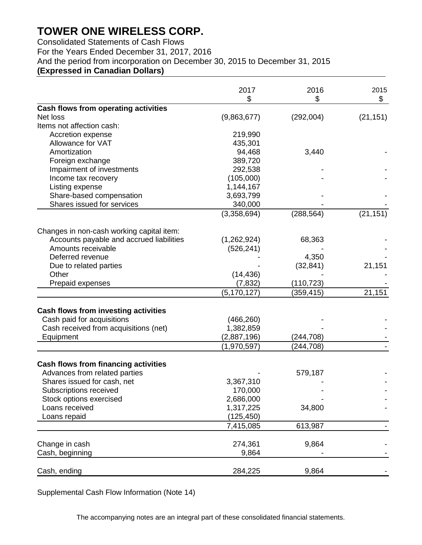Consolidated Statements of Cash Flows For the Years Ended December 31, 2017, 2016 And the period from incorporation on December 30, 2015 to December 31, 2015 **(Expressed in Canadian Dollars)**

|                                             | 2017          | 2016       | 2015      |
|---------------------------------------------|---------------|------------|-----------|
|                                             | \$            | \$         | \$        |
| Cash flows from operating activities        |               |            |           |
| Net loss                                    | (9,863,677)   | (292,004)  | (21, 151) |
| Items not affection cash:                   |               |            |           |
| Accretion expense                           | 219,990       |            |           |
| Allowance for VAT                           | 435,301       |            |           |
| Amortization                                | 94,468        | 3,440      |           |
| Foreign exchange                            | 389,720       |            |           |
| Impairment of investments                   | 292,538       |            |           |
| Income tax recovery                         | (105,000)     |            |           |
| Listing expense                             | 1,144,167     |            |           |
| Share-based compensation                    | 3,693,799     |            |           |
| Shares issued for services                  | 340,000       |            |           |
|                                             | (3,358,694)   | (288, 564) | (21, 151) |
| Changes in non-cash working capital item:   |               |            |           |
| Accounts payable and accrued liabilities    | (1,262,924)   | 68,363     |           |
| Amounts receivable                          | (526, 241)    |            |           |
| Deferred revenue                            |               | 4,350      |           |
| Due to related parties                      |               | (32, 841)  | 21,151    |
| Other                                       | (14, 436)     |            |           |
| Prepaid expenses                            | (7, 832)      | (110, 723) |           |
|                                             | (5, 170, 127) | (359, 415) | 21,151    |
| Cash flows from investing activities        |               |            |           |
| Cash paid for acquisitions                  | (466, 260)    |            |           |
| Cash received from acquisitions (net)       | 1,382,859     |            |           |
| Equipment                                   | (2,887,196)   | (244,708)  |           |
|                                             | (1,970,597)   | (244,708)  |           |
| <b>Cash flows from financing activities</b> |               |            |           |
| Advances from related parties               |               | 579,187    |           |
| Shares issued for cash, net                 | 3,367,310     |            |           |
| Subscriptions received                      | 170,000       |            |           |
| Stock options exercised                     | 2,686,000     |            |           |
| Loans received                              | 1,317,225     | 34,800     |           |
| Loans repaid                                | (125, 450)    |            |           |
|                                             | 7,415,085     | 613,987    |           |
| Change in cash                              | 274,361       | 9,864      |           |
| Cash, beginning                             | 9,864         |            |           |
|                                             |               |            |           |
| Cash, ending                                | 284,225       | 9,864      |           |

Supplemental Cash Flow Information (Note 14)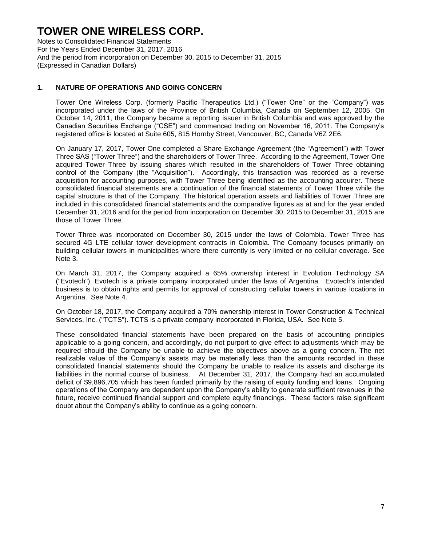Notes to Consolidated Financial Statements For the Years Ended December 31, 2017, 2016 And the period from incorporation on December 30, 2015 to December 31, 2015 (Expressed in Canadian Dollars)

## **1. NATURE OF OPERATIONS AND GOING CONCERN**

Tower One Wireless Corp. (formerly Pacific Therapeutics Ltd.) ("Tower One" or the "Company") was incorporated under the laws of the Province of British Columbia, Canada on September 12, 2005. On October 14, 2011, the Company became a reporting issuer in British Columbia and was approved by the Canadian Securities Exchange ("CSE") and commenced trading on November 16, 2011. The Company's registered office is located at Suite 605, 815 Hornby Street, Vancouver, BC, Canada V6Z 2E6.

On January 17, 2017, Tower One completed a Share Exchange Agreement (the "Agreement") with Tower Three SAS ("Tower Three") and the shareholders of Tower Three. According to the Agreement, Tower One acquired Tower Three by issuing shares which resulted in the shareholders of Tower Three obtaining control of the Company (the "Acquisition"). Accordingly, this transaction was recorded as a reverse acquisition for accounting purposes, with Tower Three being identified as the accounting acquirer. These consolidated financial statements are a continuation of the financial statements of Tower Three while the capital structure is that of the Company. The historical operation assets and liabilities of Tower Three are included in this consolidated financial statements and the comparative figures as at and for the year ended December 31, 2016 and for the period from incorporation on December 30, 2015 to December 31, 2015 are those of Tower Three.

Tower Three was incorporated on December 30, 2015 under the laws of Colombia. Tower Three has secured 4G LTE cellular tower development contracts in Colombia. The Company focuses primarily on building cellular towers in municipalities where there currently is very limited or no cellular coverage. See Note 3.

On March 31, 2017, the Company acquired a 65% ownership interest in Evolution Technology SA ("Evotech"). Evotech is a private company incorporated under the laws of Argentina. Evotech's intended business is to obtain rights and permits for approval of constructing cellular towers in various locations in Argentina. See Note 4.

On October 18, 2017, the Company acquired a 70% ownership interest in Tower Construction & Technical Services, Inc. ("TCTS"). TCTS is a private company incorporated in Florida, USA. See Note 5.

These consolidated financial statements have been prepared on the basis of accounting principles applicable to a going concern, and accordingly, do not purport to give effect to adjustments which may be required should the Company be unable to achieve the objectives above as a going concern. The net realizable value of the Company's assets may be materially less than the amounts recorded in these consolidated financial statements should the Company be unable to realize its assets and discharge its liabilities in the normal course of business. At December 31, 2017, the Company had an accumulated deficit of \$9,896,705 which has been funded primarily by the raising of equity funding and loans. Ongoing operations of the Company are dependent upon the Company's ability to generate sufficient revenues in the future, receive continued financial support and complete equity financings. These factors raise significant doubt about the Company's ability to continue as a going concern.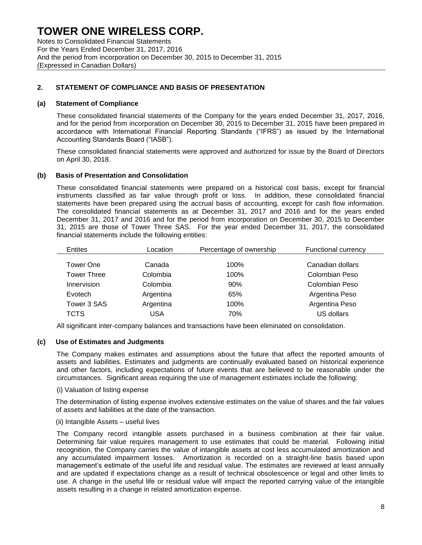Notes to Consolidated Financial Statements For the Years Ended December 31, 2017, 2016 And the period from incorporation on December 30, 2015 to December 31, 2015 (Expressed in Canadian Dollars)

## **2. STATEMENT OF COMPLIANCE AND BASIS OF PRESENTATION**

#### **(a) Statement of Compliance**

These consolidated financial statements of the Company for the years ended December 31, 2017, 2016, and for the period from incorporation on December 30, 2015 to December 31, 2015 have been prepared in accordance with International Financial Reporting Standards ("IFRS") as issued by the International Accounting Standards Board ("IASB").

These consolidated financial statements were approved and authorized for issue by the Board of Directors on April 30, 2018.

#### **(b) Basis of Presentation and Consolidation**

These consolidated financial statements were prepared on a historical cost basis, except for financial instruments classified as fair value through profit or loss. In addition, these consolidated financial statements have been prepared using the accrual basis of accounting, except for cash flow information. The consolidated financial statements as at December 31, 2017 and 2016 and for the years ended December 31, 2017 and 2016 and for the period from incorporation on December 30, 2015 to December 31, 2015 are those of Tower Three SAS. For the year ended December 31, 2017, the consolidated financial statements include the following entities:

| Entites            | Location  | Percentage of ownership | <b>Functional currency</b> |
|--------------------|-----------|-------------------------|----------------------------|
| Tower One          | Canada    | 100%                    | Canadian dollars           |
| <b>Tower Three</b> | Colombia  | 100%                    | Colombian Peso             |
| Innervision        | Colombia  | 90%                     | Colombian Peso             |
| Evotech            | Argentina | 65%                     | Argentina Peso             |
| Tower 3 SAS        | Argentina | 100%                    | Argentina Peso             |
| <b>TCTS</b>        | USA       | 70%                     | US dollars                 |

All significant inter-company balances and transactions have been eliminated on consolidation.

### **(c) Use of Estimates and Judgments**

The Company makes estimates and assumptions about the future that affect the reported amounts of assets and liabilities. Estimates and judgments are continually evaluated based on historical experience and other factors, including expectations of future events that are believed to be reasonable under the circumstances. Significant areas requiring the use of management estimates include the following:

#### (i) Valuation of listing expense

The determination of listing expense involves extensive estimates on the value of shares and the fair values of assets and liabilities at the date of the transaction.

#### (ii) Intangible Assets – useful lives

The Company record intangible assets purchased in a business combination at their fair value. Determining fair value requires management to use estimates that could be material. Following initial recognition, the Company carries the value of intangible assets at cost less accumulated amortization and any accumulated impairment losses. Amortization is recorded on a straight-line basis based upon management's estimate of the useful life and residual value. The estimates are reviewed at least annually and are updated if expectations change as a result of technical obsolescence or legal and other limits to use. A change in the useful life or residual value will impact the reported carrying value of the intangible assets resulting in a change in related amortization expense.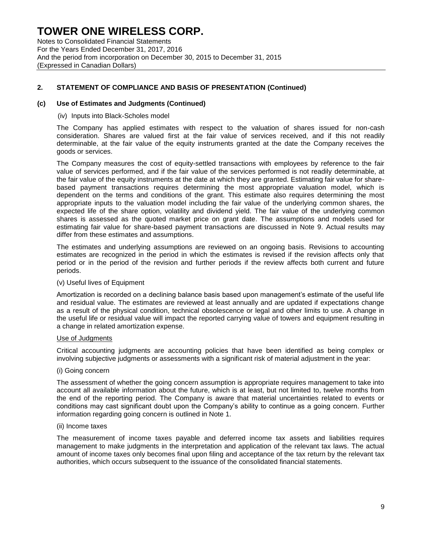Notes to Consolidated Financial Statements For the Years Ended December 31, 2017, 2016 And the period from incorporation on December 30, 2015 to December 31, 2015 (Expressed in Canadian Dollars)

## **2. STATEMENT OF COMPLIANCE AND BASIS OF PRESENTATION (Continued)**

#### **(c) Use of Estimates and Judgments (Continued)**

#### (iv) Inputs into Black-Scholes model

The Company has applied estimates with respect to the valuation of shares issued for non-cash consideration. Shares are valued first at the fair value of services received, and if this not readily determinable, at the fair value of the equity instruments granted at the date the Company receives the goods or services.

The Company measures the cost of equity-settled transactions with employees by reference to the fair value of services performed, and if the fair value of the services performed is not readily determinable, at the fair value of the equity instruments at the date at which they are granted. Estimating fair value for sharebased payment transactions requires determining the most appropriate valuation model, which is dependent on the terms and conditions of the grant. This estimate also requires determining the most appropriate inputs to the valuation model including the fair value of the underlying common shares, the expected life of the share option, volatility and dividend yield. The fair value of the underlying common shares is assessed as the quoted market price on grant date. The assumptions and models used for estimating fair value for share-based payment transactions are discussed in Note 9. Actual results may differ from these estimates and assumptions.

The estimates and underlying assumptions are reviewed on an ongoing basis. Revisions to accounting estimates are recognized in the period in which the estimates is revised if the revision affects only that period or in the period of the revision and further periods if the review affects both current and future periods.

#### (v) Useful lives of Equipment

Amortization is recorded on a declining balance basis based upon management's estimate of the useful life and residual value. The estimates are reviewed at least annually and are updated if expectations change as a result of the physical condition, technical obsolescence or legal and other limits to use. A change in the useful life or residual value will impact the reported carrying value of towers and equipment resulting in a change in related amortization expense.

#### Use of Judgments

Critical accounting judgments are accounting policies that have been identified as being complex or involving subjective judgments or assessments with a significant risk of material adjustment in the year:

#### (i) Going concern

The assessment of whether the going concern assumption is appropriate requires management to take into account all available information about the future, which is at least, but not limited to, twelve months from the end of the reporting period. The Company is aware that material uncertainties related to events or conditions may cast significant doubt upon the Company's ability to continue as a going concern. Further information regarding going concern is outlined in Note 1.

#### (ii) Income taxes

The measurement of income taxes payable and deferred income tax assets and liabilities requires management to make judgments in the interpretation and application of the relevant tax laws. The actual amount of income taxes only becomes final upon filing and acceptance of the tax return by the relevant tax authorities, which occurs subsequent to the issuance of the consolidated financial statements.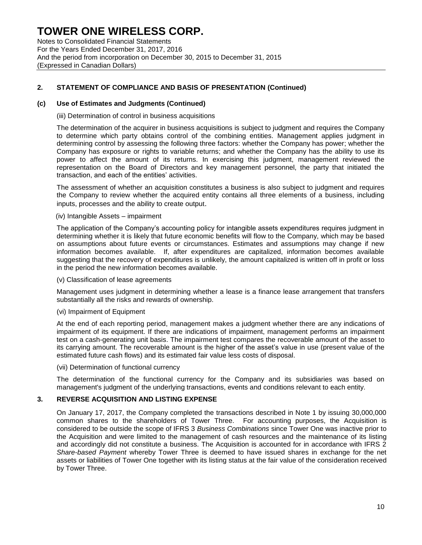Notes to Consolidated Financial Statements For the Years Ended December 31, 2017, 2016 And the period from incorporation on December 30, 2015 to December 31, 2015 (Expressed in Canadian Dollars)

## **2. STATEMENT OF COMPLIANCE AND BASIS OF PRESENTATION (Continued)**

#### **(c) Use of Estimates and Judgments (Continued)**

(iii) Determination of control in business acquisitions

The determination of the acquirer in business acquisitions is subject to judgment and requires the Company to determine which party obtains control of the combining entities. Management applies judgment in determining control by assessing the following three factors: whether the Company has power; whether the Company has exposure or rights to variable returns; and whether the Company has the ability to use its power to affect the amount of its returns. In exercising this judgment, management reviewed the representation on the Board of Directors and key management personnel, the party that initiated the transaction, and each of the entities' activities.

The assessment of whether an acquisition constitutes a business is also subject to judgment and requires the Company to review whether the acquired entity contains all three elements of a business, including inputs, processes and the ability to create output.

#### (iv) Intangible Assets – impairment

The application of the Company's accounting policy for intangible assets expenditures requires judgment in determining whether it is likely that future economic benefits will flow to the Company, which may be based on assumptions about future events or circumstances. Estimates and assumptions may change if new information becomes available. If, after expenditures are capitalized, information becomes available suggesting that the recovery of expenditures is unlikely, the amount capitalized is written off in profit or loss in the period the new information becomes available.

(v) Classification of lease agreements

Management uses judgment in determining whether a lease is a finance lease arrangement that transfers substantially all the risks and rewards of ownership.

#### (vi) Impairment of Equipment

At the end of each reporting period, management makes a judgment whether there are any indications of impairment of its equipment. If there are indications of impairment, management performs an impairment test on a cash-generating unit basis. The impairment test compares the recoverable amount of the asset to its carrying amount. The recoverable amount is the higher of the asset's value in use (present value of the estimated future cash flows) and its estimated fair value less costs of disposal.

(vii) Determination of functional currency

The determination of the functional currency for the Company and its subsidiaries was based on management's judgment of the underlying transactions, events and conditions relevant to each entity.

#### **3. REVERSE ACQUISITION AND LISTING EXPENSE**

On January 17, 2017, the Company completed the transactions described in Note 1 by issuing 30,000,000 common shares to the shareholders of Tower Three. For accounting purposes, the Acquisition is considered to be outside the scope of IFRS 3 *Business Combinations* since Tower One was inactive prior to the Acquisition and were limited to the management of cash resources and the maintenance of its listing and accordingly did not constitute a business. The Acquisition is accounted for in accordance with IFRS 2 *Share-based Payment* whereby Tower Three is deemed to have issued shares in exchange for the net assets or liabilities of Tower One together with its listing status at the fair value of the consideration received by Tower Three.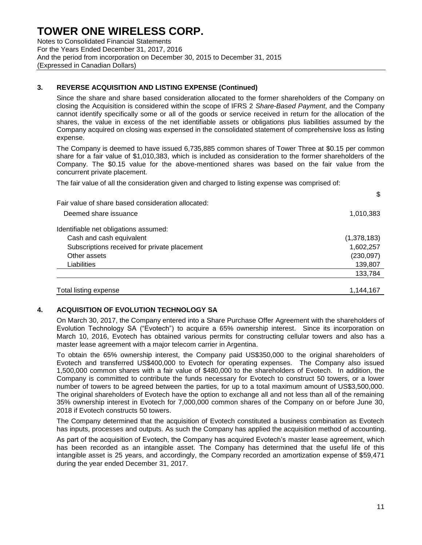Notes to Consolidated Financial Statements For the Years Ended December 31, 2017, 2016 And the period from incorporation on December 30, 2015 to December 31, 2015 (Expressed in Canadian Dollars)

## **3. REVERSE ACQUISITION AND LISTING EXPENSE (Continued)**

Since the share and share based consideration allocated to the former shareholders of the Company on closing the Acquisition is considered within the scope of IFRS 2 *Share-Based Payment*, and the Company cannot identify specifically some or all of the goods or service received in return for the allocation of the shares, the value in excess of the net identifiable assets or obligations plus liabilities assumed by the Company acquired on closing was expensed in the consolidated statement of comprehensive loss as listing expense.

The Company is deemed to have issued 6,735,885 common shares of Tower Three at \$0.15 per common share for a fair value of \$1,010,383, which is included as consideration to the former shareholders of the Company. The \$0.15 value for the above-mentioned shares was based on the fair value from the concurrent private placement.

The fair value of all the consideration given and charged to listing expense was comprised of:

|                                                    | \$          |
|----------------------------------------------------|-------------|
| Fair value of share based consideration allocated: |             |
| Deemed share issuance                              | 1,010,383   |
| Identifiable net obligations assumed:              |             |
| Cash and cash equivalent                           | (1,378,183) |
| Subscriptions received for private placement       | 1,602,257   |
| Other assets                                       | (230,097)   |
| Liabilities                                        | 139,807     |
|                                                    | 133,784     |
| Total listing expense                              | 1,144,167   |

### **4. ACQUISITION OF EVOLUTION TECHNOLOGY SA**

On March 30, 2017, the Company entered into a Share Purchase Offer Agreement with the shareholders of Evolution Technology SA ("Evotech") to acquire a 65% ownership interest. Since its incorporation on March 10, 2016, Evotech has obtained various permits for constructing cellular towers and also has a master lease agreement with a major telecom carrier in Argentina.

To obtain the 65% ownership interest, the Company paid US\$350,000 to the original shareholders of Evotech and transferred US\$400,000 to Evotech for operating expenses. The Company also issued 1,500,000 common shares with a fair value of \$480,000 to the shareholders of Evotech. In addition, the Company is committed to contribute the funds necessary for Evotech to construct 50 towers, or a lower number of towers to be agreed between the parties, for up to a total maximum amount of US\$3,500,000. The original shareholders of Evotech have the option to exchange all and not less than all of the remaining 35% ownership interest in Evotech for 7,000,000 common shares of the Company on or before June 30, 2018 if Evotech constructs 50 towers.

The Company determined that the acquisition of Evotech constituted a business combination as Evotech has inputs, processes and outputs. As such the Company has applied the acquisition method of accounting.

As part of the acquisition of Evotech, the Company has acquired Evotech's master lease agreement, which has been recorded as an intangible asset. The Company has determined that the useful life of this intangible asset is 25 years, and accordingly, the Company recorded an amortization expense of \$59,471 during the year ended December 31, 2017.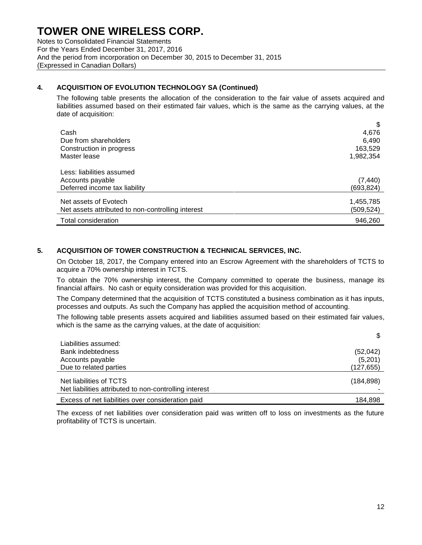Notes to Consolidated Financial Statements For the Years Ended December 31, 2017, 2016 And the period from incorporation on December 30, 2015 to December 31, 2015 (Expressed in Canadian Dollars)

## **4. ACQUISITION OF EVOLUTION TECHNOLOGY SA (Continued)**

The following table presents the allocation of the consideration to the fair value of assets acquired and liabilities assumed based on their estimated fair values, which is the same as the carrying values, at the date of acquisition:

|                                                   | \$         |
|---------------------------------------------------|------------|
| Cash                                              | 4,676      |
| Due from shareholders                             | 6,490      |
| Construction in progress                          | 163,529    |
| Master lease                                      | 1,982,354  |
| Less: liabilities assumed                         |            |
| Accounts payable                                  | (7, 440)   |
| Deferred income tax liability                     | (693, 824) |
|                                                   |            |
| Net assets of Evotech                             | 1,455,785  |
| Net assets attributed to non-controlling interest | (509,524)  |
| Total consideration                               | 946.260    |

## **5. ACQUISITION OF TOWER CONSTRUCTION & TECHNICAL SERVICES, INC.**

On October 18, 2017, the Company entered into an Escrow Agreement with the shareholders of TCTS to acquire a 70% ownership interest in TCTS.

To obtain the 70% ownership interest, the Company committed to operate the business, manage its financial affairs. No cash or equity consideration was provided for this acquisition.

The Company determined that the acquisition of TCTS constituted a business combination as it has inputs, processes and outputs. As such the Company has applied the acquisition method of accounting.

The following table presents assets acquired and liabilities assumed based on their estimated fair values, which is the same as the carrying values, at the date of acquisition:

| Liabilities assumed:                                                              | ง          |
|-----------------------------------------------------------------------------------|------------|
| <b>Bank indebtedness</b>                                                          | (52,042)   |
| Accounts payable                                                                  | (5,201)    |
| Due to related parties                                                            | (127, 655) |
| Net liabilities of TCTS<br>Net liabilities attributed to non-controlling interest | (184, 898) |
| Excess of net liabilities over consideration paid                                 | 184.898    |

The excess of net liabilities over consideration paid was written off to loss on investments as the future profitability of TCTS is uncertain.

\$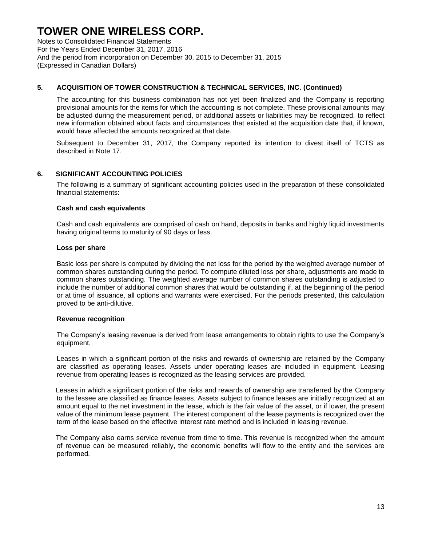Notes to Consolidated Financial Statements For the Years Ended December 31, 2017, 2016 And the period from incorporation on December 30, 2015 to December 31, 2015 (Expressed in Canadian Dollars)

## **5. ACQUISITION OF TOWER CONSTRUCTION & TECHNICAL SERVICES, INC. (Continued)**

The accounting for this business combination has not yet been finalized and the Company is reporting provisional amounts for the items for which the accounting is not complete. These provisional amounts may be adjusted during the measurement period, or additional assets or liabilities may be recognized, to reflect new information obtained about facts and circumstances that existed at the acquisition date that, if known, would have affected the amounts recognized at that date.

Subsequent to December 31, 2017, the Company reported its intention to divest itself of TCTS as described in Note 17.

### **6. SIGNIFICANT ACCOUNTING POLICIES**

The following is a summary of significant accounting policies used in the preparation of these consolidated financial statements:

#### **Cash and cash equivalents**

Cash and cash equivalents are comprised of cash on hand, deposits in banks and highly liquid investments having original terms to maturity of 90 days or less.

#### **Loss per share**

Basic loss per share is computed by dividing the net loss for the period by the weighted average number of common shares outstanding during the period. To compute diluted loss per share, adjustments are made to common shares outstanding. The weighted average number of common shares outstanding is adjusted to include the number of additional common shares that would be outstanding if, at the beginning of the period or at time of issuance, all options and warrants were exercised. For the periods presented, this calculation proved to be anti-dilutive.

#### **Revenue recognition**

The Company's leasing revenue is derived from lease arrangements to obtain rights to use the Company's equipment.

Leases in which a significant portion of the risks and rewards of ownership are retained by the Company are classified as operating leases. Assets under operating leases are included in equipment. Leasing revenue from operating leases is recognized as the leasing services are provided.

Leases in which a significant portion of the risks and rewards of ownership are transferred by the Company to the lessee are classified as finance leases. Assets subject to finance leases are initially recognized at an amount equal to the net investment in the lease, which is the fair value of the asset, or if lower, the present value of the minimum lease payment. The interest component of the lease payments is recognized over the term of the lease based on the effective interest rate method and is included in leasing revenue.

The Company also earns service revenue from time to time. This revenue is recognized when the amount of revenue can be measured reliably, the economic benefits will flow to the entity and the services are performed.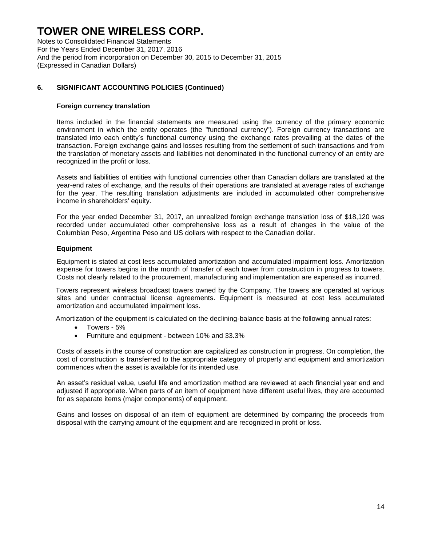Notes to Consolidated Financial Statements For the Years Ended December 31, 2017, 2016 And the period from incorporation on December 30, 2015 to December 31, 2015 (Expressed in Canadian Dollars)

## **6. SIGNIFICANT ACCOUNTING POLICIES (Continued)**

#### **Foreign currency translation**

Items included in the financial statements are measured using the currency of the primary economic environment in which the entity operates (the "functional currency"). Foreign currency transactions are translated into each entity's functional currency using the exchange rates prevailing at the dates of the transaction. Foreign exchange gains and losses resulting from the settlement of such transactions and from the translation of monetary assets and liabilities not denominated in the functional currency of an entity are recognized in the profit or loss.

Assets and liabilities of entities with functional currencies other than Canadian dollars are translated at the year-end rates of exchange, and the results of their operations are translated at average rates of exchange for the year. The resulting translation adjustments are included in accumulated other comprehensive income in shareholders' equity.

For the year ended December 31, 2017, an unrealized foreign exchange translation loss of \$18,120 was recorded under accumulated other comprehensive loss as a result of changes in the value of the Columbian Peso, Argentina Peso and US dollars with respect to the Canadian dollar.

#### **Equipment**

Equipment is stated at cost less accumulated amortization and accumulated impairment loss. Amortization expense for towers begins in the month of transfer of each tower from construction in progress to towers. Costs not clearly related to the procurement, manufacturing and implementation are expensed as incurred.

Towers represent wireless broadcast towers owned by the Company. The towers are operated at various sites and under contractual license agreements. Equipment is measured at cost less accumulated amortization and accumulated impairment loss.

Amortization of the equipment is calculated on the declining-balance basis at the following annual rates:

- Towers 5%
- Furniture and equipment between 10% and 33.3%

Costs of assets in the course of construction are capitalized as construction in progress. On completion, the cost of construction is transferred to the appropriate category of property and equipment and amortization commences when the asset is available for its intended use.

An asset's residual value, useful life and amortization method are reviewed at each financial year end and adjusted if appropriate. When parts of an item of equipment have different useful lives, they are accounted for as separate items (major components) of equipment.

Gains and losses on disposal of an item of equipment are determined by comparing the proceeds from disposal with the carrying amount of the equipment and are recognized in profit or loss.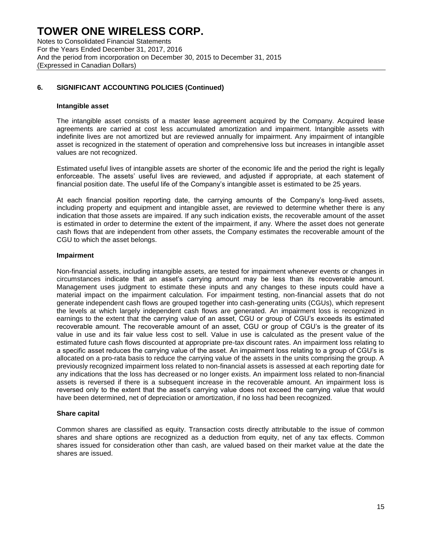Notes to Consolidated Financial Statements For the Years Ended December 31, 2017, 2016 And the period from incorporation on December 30, 2015 to December 31, 2015 (Expressed in Canadian Dollars)

## **6. SIGNIFICANT ACCOUNTING POLICIES (Continued)**

#### **Intangible asset**

The intangible asset consists of a master lease agreement acquired by the Company. Acquired lease agreements are carried at cost less accumulated amortization and impairment. Intangible assets with indefinite lives are not amortized but are reviewed annually for impairment. Any impairment of intangible asset is recognized in the statement of operation and comprehensive loss but increases in intangible asset values are not recognized.

Estimated useful lives of intangible assets are shorter of the economic life and the period the right is legally enforceable. The assets' useful lives are reviewed, and adjusted if appropriate, at each statement of financial position date. The useful life of the Company's intangible asset is estimated to be 25 years.

At each financial position reporting date, the carrying amounts of the Company's long-lived assets, including property and equipment and intangible asset, are reviewed to determine whether there is any indication that those assets are impaired. If any such indication exists, the recoverable amount of the asset is estimated in order to determine the extent of the impairment, if any. Where the asset does not generate cash flows that are independent from other assets, the Company estimates the recoverable amount of the CGU to which the asset belongs.

#### **Impairment**

Non-financial assets, including intangible assets, are tested for impairment whenever events or changes in circumstances indicate that an asset's carrying amount may be less than its recoverable amount. Management uses judgment to estimate these inputs and any changes to these inputs could have a material impact on the impairment calculation. For impairment testing, non-financial assets that do not generate independent cash flows are grouped together into cash-generating units (CGUs), which represent the levels at which largely independent cash flows are generated. An impairment loss is recognized in earnings to the extent that the carrying value of an asset, CGU or group of CGU's exceeds its estimated recoverable amount. The recoverable amount of an asset, CGU or group of CGU's is the greater of its value in use and its fair value less cost to sell. Value in use is calculated as the present value of the estimated future cash flows discounted at appropriate pre-tax discount rates. An impairment loss relating to a specific asset reduces the carrying value of the asset. An impairment loss relating to a group of CGU's is allocated on a pro-rata basis to reduce the carrying value of the assets in the units comprising the group. A previously recognized impairment loss related to non-financial assets is assessed at each reporting date for any indications that the loss has decreased or no longer exists. An impairment loss related to non-financial assets is reversed if there is a subsequent increase in the recoverable amount. An impairment loss is reversed only to the extent that the asset's carrying value does not exceed the carrying value that would have been determined, net of depreciation or amortization, if no loss had been recognized.

#### **Share capital**

Common shares are classified as equity. Transaction costs directly attributable to the issue of common shares and share options are recognized as a deduction from equity, net of any tax effects. Common shares issued for consideration other than cash, are valued based on their market value at the date the shares are issued.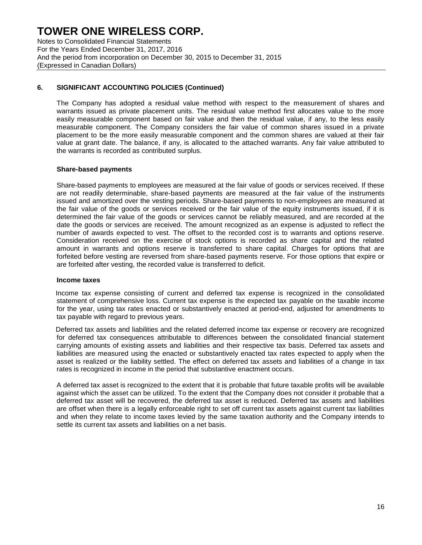Notes to Consolidated Financial Statements For the Years Ended December 31, 2017, 2016 And the period from incorporation on December 30, 2015 to December 31, 2015 (Expressed in Canadian Dollars)

## **6. SIGNIFICANT ACCOUNTING POLICIES (Continued)**

The Company has adopted a residual value method with respect to the measurement of shares and warrants issued as private placement units. The residual value method first allocates value to the more easily measurable component based on fair value and then the residual value, if any, to the less easily measurable component. The Company considers the fair value of common shares issued in a private placement to be the more easily measurable component and the common shares are valued at their fair value at grant date. The balance, if any, is allocated to the attached warrants. Any fair value attributed to the warrants is recorded as contributed surplus.

#### **Share-based payments**

Share-based payments to employees are measured at the fair value of goods or services received. If these are not readily determinable, share-based payments are measured at the fair value of the instruments issued and amortized over the vesting periods. Share-based payments to non-employees are measured at the fair value of the goods or services received or the fair value of the equity instruments issued, if it is determined the fair value of the goods or services cannot be reliably measured, and are recorded at the date the goods or services are received. The amount recognized as an expense is adjusted to reflect the number of awards expected to vest. The offset to the recorded cost is to warrants and options reserve. Consideration received on the exercise of stock options is recorded as share capital and the related amount in warrants and options reserve is transferred to share capital. Charges for options that are forfeited before vesting are reversed from share-based payments reserve. For those options that expire or are forfeited after vesting, the recorded value is transferred to deficit.

#### **Income taxes**

Income tax expense consisting of current and deferred tax expense is recognized in the consolidated statement of comprehensive loss. Current tax expense is the expected tax payable on the taxable income for the year, using tax rates enacted or substantively enacted at period-end, adjusted for amendments to tax payable with regard to previous years.

Deferred tax assets and liabilities and the related deferred income tax expense or recovery are recognized for deferred tax consequences attributable to differences between the consolidated financial statement carrying amounts of existing assets and liabilities and their respective tax basis. Deferred tax assets and liabilities are measured using the enacted or substantively enacted tax rates expected to apply when the asset is realized or the liability settled. The effect on deferred tax assets and liabilities of a change in tax rates is recognized in income in the period that substantive enactment occurs.

A deferred tax asset is recognized to the extent that it is probable that future taxable profits will be available against which the asset can be utilized. To the extent that the Company does not consider it probable that a deferred tax asset will be recovered, the deferred tax asset is reduced. Deferred tax assets and liabilities are offset when there is a legally enforceable right to set off current tax assets against current tax liabilities and when they relate to income taxes levied by the same taxation authority and the Company intends to settle its current tax assets and liabilities on a net basis.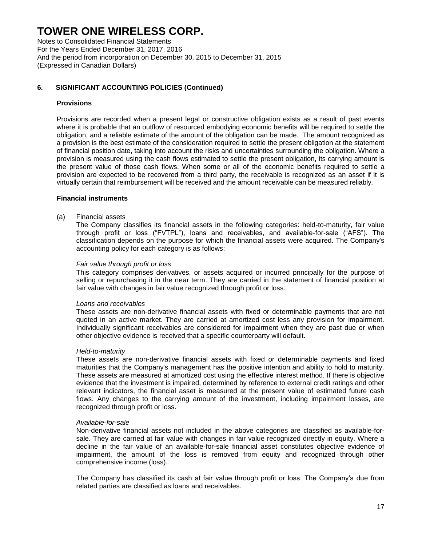Notes to Consolidated Financial Statements For the Years Ended December 31, 2017, 2016 And the period from incorporation on December 30, 2015 to December 31, 2015 (Expressed in Canadian Dollars)

## **6. SIGNIFICANT ACCOUNTING POLICIES (Continued)**

#### **Provisions**

Provisions are recorded when a present legal or constructive obligation exists as a result of past events where it is probable that an outflow of resourced embodying economic benefits will be required to settle the obligation, and a reliable estimate of the amount of the obligation can be made. The amount recognized as a provision is the best estimate of the consideration required to settle the present obligation at the statement of financial position date, taking into account the risks and uncertainties surrounding the obligation. Where a provision is measured using the cash flows estimated to settle the present obligation, its carrying amount is the present value of those cash flows. When some or all of the economic benefits required to settle a provision are expected to be recovered from a third party, the receivable is recognized as an asset if it is virtually certain that reimbursement will be received and the amount receivable can be measured reliably.

#### **Financial instruments**

#### (a) Financial assets

The Company classifies its financial assets in the following categories: held-to-maturity, fair value through profit or loss ("FVTPL"), loans and receivables, and available-for-sale ("AFS"). The classification depends on the purpose for which the financial assets were acquired. The Company's accounting policy for each category is as follows:

#### *Fair value through profit or loss*

This category comprises derivatives, or assets acquired or incurred principally for the purpose of selling or repurchasing it in the near term. They are carried in the statement of financial position at fair value with changes in fair value recognized through profit or loss.

#### *Loans and receivables*

These assets are non-derivative financial assets with fixed or determinable payments that are not quoted in an active market. They are carried at amortized cost less any provision for impairment. Individually significant receivables are considered for impairment when they are past due or when other objective evidence is received that a specific counterparty will default.

#### *Held-to-maturity*

These assets are non-derivative financial assets with fixed or determinable payments and fixed maturities that the Company's management has the positive intention and ability to hold to maturity. These assets are measured at amortized cost using the effective interest method. If there is objective evidence that the investment is impaired, determined by reference to external credit ratings and other relevant indicators, the financial asset is measured at the present value of estimated future cash flows. Any changes to the carrying amount of the investment, including impairment losses, are recognized through profit or loss.

#### *Available-for-sale*

Non-derivative financial assets not included in the above categories are classified as available-forsale. They are carried at fair value with changes in fair value recognized directly in equity. Where a decline in the fair value of an available-for-sale financial asset constitutes objective evidence of impairment, the amount of the loss is removed from equity and recognized through other comprehensive income (loss).

The Company has classified its cash at fair value through profit or loss. The Company's due from related parties are classified as loans and receivables.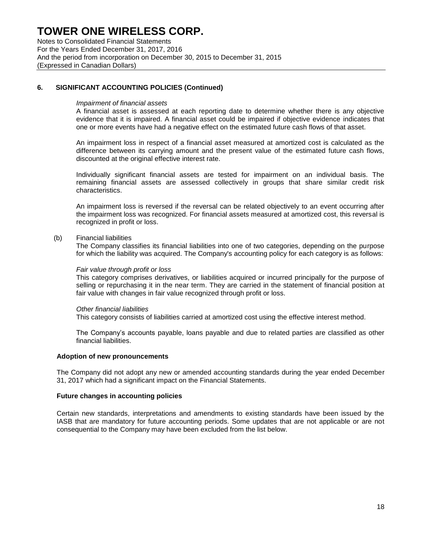Notes to Consolidated Financial Statements For the Years Ended December 31, 2017, 2016 And the period from incorporation on December 30, 2015 to December 31, 2015 (Expressed in Canadian Dollars)

### **6. SIGNIFICANT ACCOUNTING POLICIES (Continued)**

#### *Impairment of financial assets*

A financial asset is assessed at each reporting date to determine whether there is any objective evidence that it is impaired. A financial asset could be impaired if objective evidence indicates that one or more events have had a negative effect on the estimated future cash flows of that asset.

An impairment loss in respect of a financial asset measured at amortized cost is calculated as the difference between its carrying amount and the present value of the estimated future cash flows, discounted at the original effective interest rate.

Individually significant financial assets are tested for impairment on an individual basis. The remaining financial assets are assessed collectively in groups that share similar credit risk characteristics.

An impairment loss is reversed if the reversal can be related objectively to an event occurring after the impairment loss was recognized. For financial assets measured at amortized cost, this reversal is recognized in profit or loss.

#### (b) Financial liabilities

The Company classifies its financial liabilities into one of two categories, depending on the purpose for which the liability was acquired. The Company's accounting policy for each category is as follows:

#### *Fair value through profit or loss*

This category comprises derivatives, or liabilities acquired or incurred principally for the purpose of selling or repurchasing it in the near term. They are carried in the statement of financial position at fair value with changes in fair value recognized through profit or loss.

#### *Other financial liabilities*

This category consists of liabilities carried at amortized cost using the effective interest method.

The Company's accounts payable, loans payable and due to related parties are classified as other financial liabilities.

#### **Adoption of new pronouncements**

The Company did not adopt any new or amended accounting standards during the year ended December 31, 2017 which had a significant impact on the Financial Statements.

#### **Future changes in accounting policies**

Certain new standards, interpretations and amendments to existing standards have been issued by the IASB that are mandatory for future accounting periods. Some updates that are not applicable or are not consequential to the Company may have been excluded from the list below.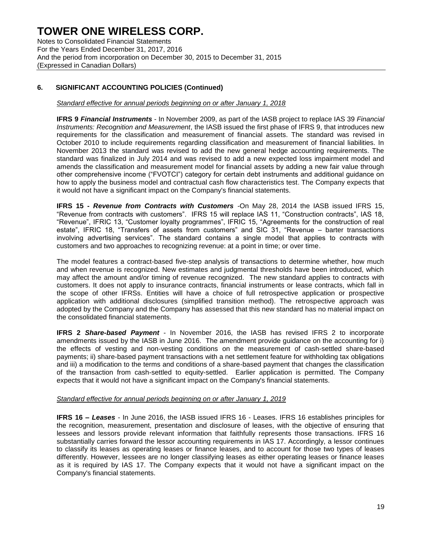Notes to Consolidated Financial Statements For the Years Ended December 31, 2017, 2016 And the period from incorporation on December 30, 2015 to December 31, 2015 (Expressed in Canadian Dollars)

## **6. SIGNIFICANT ACCOUNTING POLICIES (Continued)**

### *Standard effective for annual periods beginning on or after January 1, 2018*

**IFRS 9** *Financial Instruments* - In November 2009, as part of the IASB project to replace IAS 39 *Financial Instruments: Recognition and Measurement*, the IASB issued the first phase of IFRS 9, that introduces new requirements for the classification and measurement of financial assets. The standard was revised in October 2010 to include requirements regarding classification and measurement of financial liabilities. In November 2013 the standard was revised to add the new general hedge accounting requirements. The standard was finalized in July 2014 and was revised to add a new expected loss impairment model and amends the classification and measurement model for financial assets by adding a new fair value through other comprehensive income ("FVOTCI") category for certain debt instruments and additional guidance on how to apply the business model and contractual cash flow characteristics test. The Company expects that it would not have a significant impact on the Company's financial statements.

**IFRS 15 -** *Revenue from Contracts with Customers -*On May 28, 2014 the IASB issued IFRS 15, "Revenue from contracts with customers". IFRS 15 will replace IAS 11, "Construction contracts", IAS 18, "Revenue", IFRIC 13, "Customer loyalty programmes", IFRIC 15, "Agreements for the construction of real estate", IFRIC 18, "Transfers of assets from customers" and SIC 31, "Revenue – barter transactions involving advertising services". The standard contains a single model that applies to contracts with customers and two approaches to recognizing revenue: at a point in time; or over time.

The model features a contract-based five-step analysis of transactions to determine whether, how much and when revenue is recognized. New estimates and judgmental thresholds have been introduced, which may affect the amount and/or timing of revenue recognized. The new standard applies to contracts with customers. It does not apply to insurance contracts, financial instruments or lease contracts, which fall in the scope of other IFRSs. Entities will have a choice of full retrospective application or prospective application with additional disclosures (simplified transition method). The retrospective approach was adopted by the Company and the Company has assessed that this new standard has no material impact on the consolidated financial statements.

**IFRS 2** *Share-based Payment* - In November 2016, the IASB has revised IFRS 2 to incorporate amendments issued by the IASB in June 2016. The amendment provide guidance on the accounting for i) the effects of vesting and non-vesting conditions on the measurement of cash-settled share-based payments; ii) share-based payment transactions with a net settlement feature for withholding tax obligations and iii) a modification to the terms and conditions of a share-based payment that changes the classification of the transaction from cash-settled to equity-settled. Earlier application is permitted. The Company expects that it would not have a significant impact on the Company's financial statements.

### *Standard effective for annual periods beginning on or after January 1, 2019*

**IFRS 16** *– Leases* - In June 2016, the IASB issued IFRS 16 - Leases. IFRS 16 establishes principles for the recognition, measurement, presentation and disclosure of leases, with the objective of ensuring that lessees and lessors provide relevant information that faithfully represents those transactions. IFRS 16 substantially carries forward the lessor accounting requirements in IAS 17. Accordingly, a lessor continues to classify its leases as operating leases or finance leases, and to account for those two types of leases differently. However, lessees are no longer classifying leases as either operating leases or finance leases as it is required by IAS 17. The Company expects that it would not have a significant impact on the Company's financial statements.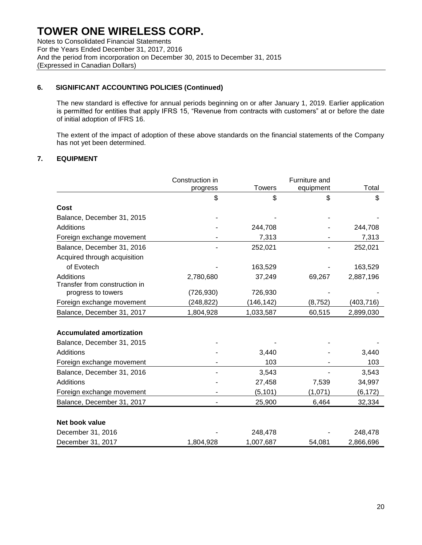Notes to Consolidated Financial Statements For the Years Ended December 31, 2017, 2016 And the period from incorporation on December 30, 2015 to December 31, 2015 (Expressed in Canadian Dollars)

## **6. SIGNIFICANT ACCOUNTING POLICIES (Continued)**

The new standard is effective for annual periods beginning on or after January 1, 2019. Earlier application is permitted for entities that apply IFRS 15, "Revenue from contracts with customers" at or before the date of initial adoption of IFRS 16.

The extent of the impact of adoption of these above standards on the financial statements of the Company has not yet been determined.

## **7. EQUIPMENT**

|                                 | Construction in |               | Furniture and |            |
|---------------------------------|-----------------|---------------|---------------|------------|
|                                 | progress        | <b>Towers</b> | equipment     | Total      |
|                                 | \$              | \$            | \$            | \$         |
| Cost                            |                 |               |               |            |
| Balance, December 31, 2015      |                 |               |               |            |
| Additions                       |                 | 244,708       |               | 244,708    |
| Foreign exchange movement       |                 | 7,313         |               | 7,313      |
| Balance, December 31, 2016      |                 | 252,021       |               | 252,021    |
| Acquired through acquisition    |                 |               |               |            |
| of Evotech                      |                 | 163,529       |               | 163,529    |
| Additions                       | 2,780,680       | 37,249        | 69,267        | 2,887,196  |
| Transfer from construction in   |                 |               |               |            |
| progress to towers              | (726, 930)      | 726,930       |               |            |
| Foreign exchange movement       | (248, 822)      | (146,142)     | (8, 752)      | (403, 716) |
| Balance, December 31, 2017      | 1,804,928       | 1,033,587     | 60,515        | 2,899,030  |
|                                 |                 |               |               |            |
| <b>Accumulated amortization</b> |                 |               |               |            |
| Balance, December 31, 2015      |                 |               |               |            |
| <b>Additions</b>                |                 | 3,440         |               | 3,440      |
| Foreign exchange movement       |                 | 103           |               | 103        |
| Balance, December 31, 2016      |                 | 3,543         |               | 3,543      |
| Additions                       |                 | 27,458        | 7,539         | 34,997     |
| Foreign exchange movement       |                 | (5, 101)      | (1,071)       | (6, 172)   |
| Balance, December 31, 2017      |                 | 25,900        | 6,464         | 32,334     |
| Net book value                  |                 |               |               |            |
| December 31, 2016               |                 | 248,478       |               | 248,478    |
| December 31, 2017               | 1,804,928       | 1,007,687     | 54,081        | 2,866,696  |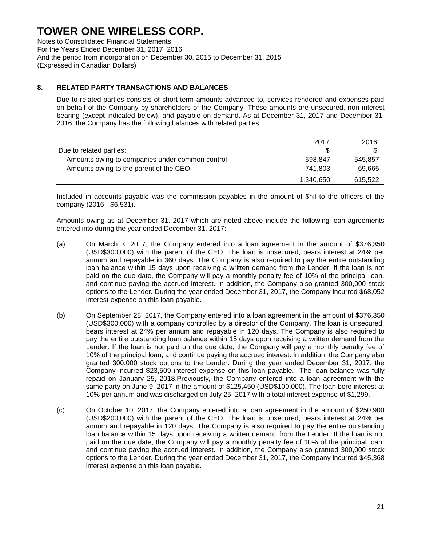Notes to Consolidated Financial Statements For the Years Ended December 31, 2017, 2016 And the period from incorporation on December 30, 2015 to December 31, 2015 (Expressed in Canadian Dollars)

## **8. RELATED PARTY TRANSACTIONS AND BALANCES**

Due to related parties consists of short term amounts advanced to, services rendered and expenses paid on behalf of the Company by shareholders of the Company. These amounts are unsecured, non-interest bearing (except indicated below), and payable on demand. As at December 31, 2017 and December 31, 2016, the Company has the following balances with related parties:

|                                                 | 2017      | 2016    |
|-------------------------------------------------|-----------|---------|
| Due to related parties:                         |           |         |
| Amounts owing to companies under common control | 598.847   | 545.857 |
| Amounts owing to the parent of the CEO          | 741.803   | 69,665  |
|                                                 | 1,340,650 | 615.522 |

Included in accounts payable was the commission payables in the amount of \$nil to the officers of the company (2016 - \$6,531).

Amounts owing as at December 31, 2017 which are noted above include the following loan agreements entered into during the year ended December 31, 2017:

- (a) On March 3, 2017, the Company entered into a loan agreement in the amount of \$376,350 (USD\$300,000) with the parent of the CEO. The loan is unsecured, bears interest at 24% per annum and repayable in 360 days. The Company is also required to pay the entire outstanding loan balance within 15 days upon receiving a written demand from the Lender. If the loan is not paid on the due date, the Company will pay a monthly penalty fee of 10% of the principal loan, and continue paying the accrued interest. In addition, the Company also granted 300,000 stock options to the Lender. During the year ended December 31, 2017, the Company incurred \$68,052 interest expense on this loan payable.
- (b) On September 28, 2017, the Company entered into a loan agreement in the amount of \$376,350 (USD\$300,000) with a company controlled by a director of the Company. The loan is unsecured, bears interest at 24% per annum and repayable in 120 days. The Company is also required to pay the entire outstanding loan balance within 15 days upon receiving a written demand from the Lender. If the loan is not paid on the due date, the Company will pay a monthly penalty fee of 10% of the principal loan, and continue paying the accrued interest. In addition, the Company also granted 300,000 stock options to the Lender. During the year ended December 31, 2017, the Company incurred \$23,509 interest expense on this loan payable. The loan balance was fully repaid on January 25, 2018.Previously, the Company entered into a loan agreement with the same party on June 9, 2017 in the amount of \$125,450 (USD\$100,000). The loan bore interest at 10% per annum and was discharged on July 25, 2017 with a total interest expense of \$1,299.
- (c) On October 10, 2017, the Company entered into a loan agreement in the amount of \$250,900 (USD\$200,000) with the parent of the CEO. The loan is unsecured, bears interest at 24% per annum and repayable in 120 days. The Company is also required to pay the entire outstanding loan balance within 15 days upon receiving a written demand from the Lender. If the loan is not paid on the due date, the Company will pay a monthly penalty fee of 10% of the principal loan, and continue paying the accrued interest. In addition, the Company also granted 300,000 stock options to the Lender. During the year ended December 31, 2017, the Company incurred \$45,368 interest expense on this loan payable.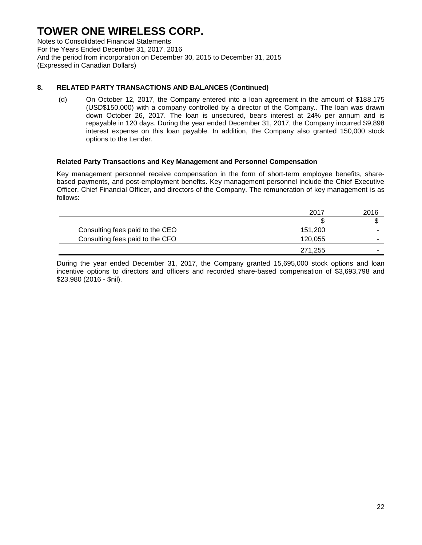Notes to Consolidated Financial Statements For the Years Ended December 31, 2017, 2016 And the period from incorporation on December 30, 2015 to December 31, 2015 (Expressed in Canadian Dollars)

## **8. RELATED PARTY TRANSACTIONS AND BALANCES (Continued)**

(d) On October 12, 2017, the Company entered into a loan agreement in the amount of \$188,175 (USD\$150,000) with a company controlled by a director of the Company.. The loan was drawn down October 26, 2017. The loan is unsecured, bears interest at 24% per annum and is repayable in 120 days. During the year ended December 31, 2017, the Company incurred \$9,898 interest expense on this loan payable. In addition, the Company also granted 150,000 stock options to the Lender.

#### **Related Party Transactions and Key Management and Personnel Compensation**

Key management personnel receive compensation in the form of short-term employee benefits, sharebased payments, and post-employment benefits. Key management personnel include the Chief Executive Officer, Chief Financial Officer, and directors of the Company. The remuneration of key management is as follows:

|                                 | 2017    | 2016 |
|---------------------------------|---------|------|
|                                 |         |      |
| Consulting fees paid to the CEO | 151.200 |      |
| Consulting fees paid to the CFO | 120,055 |      |
|                                 | 271,255 | -    |

During the year ended December 31, 2017, the Company granted 15,695,000 stock options and loan incentive options to directors and officers and recorded share-based compensation of \$3,693,798 and \$23,980 (2016 - \$nil).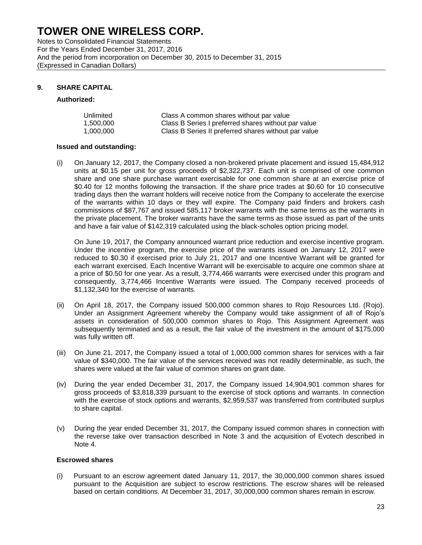Notes to Consolidated Financial Statements For the Years Ended December 31, 2017, 2016 And the period from incorporation on December 30, 2015 to December 31, 2015 (Expressed in Canadian Dollars)

## **9. SHARE CAPITAL**

#### **Authorized:**

| Unlimited | Class A common shares without par value              |
|-----------|------------------------------------------------------|
| 1.500.000 | Class B Series I preferred shares without par value  |
| 1.000.000 | Class B Series II preferred shares without par value |

#### **Issued and outstanding:**

(i) On January 12, 2017, the Company closed a non-brokered private placement and issued 15,484,912 units at \$0.15 per unit for gross proceeds of \$2,322,737. Each unit is comprised of one common share and one share purchase warrant exercisable for one common share at an exercise price of \$0.40 for 12 months following the transaction. If the share price trades at \$0.60 for 10 consecutive trading days then the warrant holders will receive notice from the Company to accelerate the exercise of the warrants within 10 days or they will expire. The Company paid finders and brokers cash commissions of \$87,767 and issued 585,117 broker warrants with the same terms as the warrants in the private placement. The broker warrants have the same terms as those issued as part of the units and have a fair value of \$142,319 calculated using the black-scholes option pricing model.

On June 19, 2017, the Company announced warrant price reduction and exercise incentive program. Under the incentive program, the exercise price of the warrants issued on January 12, 2017 were reduced to \$0.30 if exercised prior to July 21, 2017 and one Incentive Warrant will be granted for each warrant exercised. Each Incentive Warrant will be exercisable to acquire one common share at a price of \$0.50 for one year. As a result, 3,774,466 warrants were exercised under this program and consequently, 3,774,466 Incentive Warrants were issued. The Company received proceeds of \$1,132,340 for the exercise of warrants.

- (ii) On April 18, 2017, the Company issued 500,000 common shares to Rojo Resources Ltd. (Rojo). Under an Assignment Agreement whereby the Company would take assignment of all of Rojo's assets in consideration of 500,000 common shares to Rojo. This Assignment Agreement was subsequently terminated and as a result, the fair value of the investment in the amount of \$175,000 was fully written off.
- (iii) On June 21, 2017, the Company issued a total of 1,000,000 common shares for services with a fair value of \$340,000. The fair value of the services received was not readily determinable, as such, the shares were valued at the fair value of common shares on grant date.
- (iv) During the year ended December 31, 2017, the Company issued 14,904,901 common shares for gross proceeds of \$3,818,339 pursuant to the exercise of stock options and warrants. In connection with the exercise of stock options and warrants, \$2,959,537 was transferred from contributed surplus to share capital.
- (v) During the year ended December 31, 2017, the Company issued common shares in connection with the reverse take over transaction described in Note 3 and the acquisition of Evotech described in Note 4.

#### **Escrowed shares**

(i) Pursuant to an escrow agreement dated January 11, 2017, the 30,000,000 common shares issued pursuant to the Acquisition are subject to escrow restrictions. The escrow shares will be released based on certain conditions. At December 31, 2017, 30,000,000 common shares remain in escrow.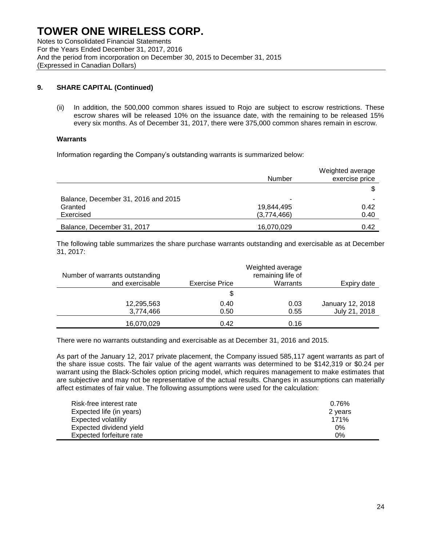Notes to Consolidated Financial Statements For the Years Ended December 31, 2017, 2016 And the period from incorporation on December 30, 2015 to December 31, 2015 (Expressed in Canadian Dollars)

## **9. SHARE CAPITAL (Continued)**

(ii) In addition, the 500,000 common shares issued to Rojo are subject to escrow restrictions. These escrow shares will be released 10% on the issuance date, with the remaining to be released 15% every six months. As of December 31, 2017, there were 375,000 common shares remain in escrow.

#### **Warrants**

Information regarding the Company's outstanding warrants is summarized below:

|                                     | <b>Number</b> | Weighted average<br>exercise price |
|-------------------------------------|---------------|------------------------------------|
|                                     |               |                                    |
| Balance, December 31, 2016 and 2015 | -             |                                    |
| Granted                             | 19,844,495    | 0.42                               |
| Exercised                           | (3,774,466)   | 0.40                               |
| Balance, December 31, 2017          | 16,070,029    | 0.42                               |

The following table summarizes the share purchase warrants outstanding and exercisable as at December 31, 2017:

| Number of warrants outstanding |                       | Weighted average<br>remaining life of |                  |
|--------------------------------|-----------------------|---------------------------------------|------------------|
| and exercisable                | <b>Exercise Price</b> | Warrants                              | Expiry date      |
|                                | \$                    |                                       |                  |
| 12,295,563                     | 0.40                  | 0.03                                  | January 12, 2018 |
| 3,774,466                      | 0.50                  | 0.55                                  | July 21, 2018    |
| 16,070,029                     | 0.42                  | 0.16                                  |                  |

There were no warrants outstanding and exercisable as at December 31, 2016 and 2015.

As part of the January 12, 2017 private placement, the Company issued 585,117 agent warrants as part of the share issue costs. The fair value of the agent warrants was determined to be \$142,319 or \$0.24 per warrant using the Black-Scholes option pricing model, which requires management to make estimates that are subjective and may not be representative of the actual results. Changes in assumptions can materially affect estimates of fair value. The following assumptions were used for the calculation:

| Risk-free interest rate  | 0.76%   |
|--------------------------|---------|
| Expected life (in years) | 2 years |
| Expected volatility      | 171%    |
| Expected dividend yield  | 0%      |
| Expected forfeiture rate | 0%      |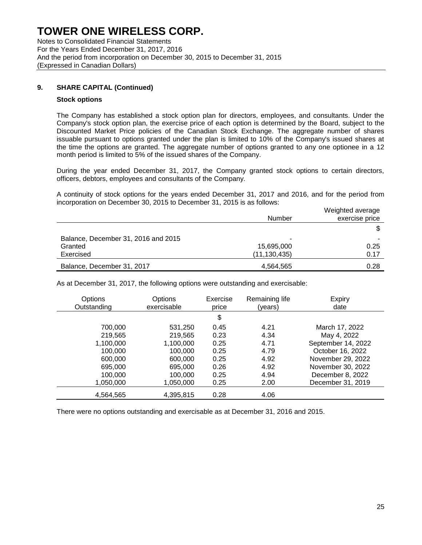Notes to Consolidated Financial Statements For the Years Ended December 31, 2017, 2016 And the period from incorporation on December 30, 2015 to December 31, 2015 (Expressed in Canadian Dollars)

#### **9. SHARE CAPITAL (Continued)**

#### **Stock options**

The Company has established a stock option plan for directors, employees, and consultants. Under the Company's stock option plan, the exercise price of each option is determined by the Board, subject to the Discounted Market Price policies of the Canadian Stock Exchange. The aggregate number of shares issuable pursuant to options granted under the plan is limited to 10% of the Company's issued shares at the time the options are granted. The aggregate number of options granted to any one optionee in a 12 month period is limited to 5% of the issued shares of the Company.

During the year ended December 31, 2017, the Company granted stock options to certain directors, officers, debtors, employees and consultants of the Company.

A continuity of stock options for the years ended December 31, 2017 and 2016, and for the period from incorporation on December 30, 2015 to December 31, 2015 is as follows:

|                                     |                | Weighted average |
|-------------------------------------|----------------|------------------|
|                                     | Number         | exercise price   |
|                                     |                |                  |
| Balance, December 31, 2016 and 2015 | -              |                  |
| Granted                             | 15,695,000     | 0.25             |
| Exercised                           | (11, 130, 435) | 0.17             |
| Balance, December 31, 2017          | 4,564,565      | 0.28             |

As at December 31, 2017, the following options were outstanding and exercisable:

| Options<br>Outstanding | Options<br>exercisable | Exercise<br>price | Remaining life<br>(years) | Expiry<br>date     |
|------------------------|------------------------|-------------------|---------------------------|--------------------|
|                        |                        | \$                |                           |                    |
| 700,000                | 531,250                | 0.45              | 4.21                      | March 17, 2022     |
| 219,565                | 219,565                | 0.23              | 4.34                      | May 4, 2022        |
| 1,100,000              | 1,100,000              | 0.25              | 4.71                      | September 14, 2022 |
| 100,000                | 100.000                | 0.25              | 4.79                      | October 16, 2022   |
| 600,000                | 600,000                | 0.25              | 4.92                      | November 29, 2022  |
| 695,000                | 695,000                | 0.26              | 4.92                      | November 30, 2022  |
| 100,000                | 100,000                | 0.25              | 4.94                      | December 8, 2022   |
| 1,050,000              | 1,050,000              | 0.25              | 2.00                      | December 31, 2019  |
| 4,564,565              | 4,395,815              | 0.28              | 4.06                      |                    |

There were no options outstanding and exercisable as at December 31, 2016 and 2015.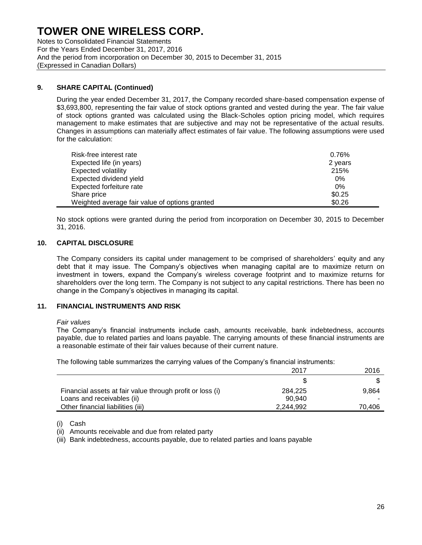Notes to Consolidated Financial Statements For the Years Ended December 31, 2017, 2016 And the period from incorporation on December 30, 2015 to December 31, 2015 (Expressed in Canadian Dollars)

### **9. SHARE CAPITAL (Continued)**

During the year ended December 31, 2017, the Company recorded share-based compensation expense of \$3,693,800, representing the fair value of stock options granted and vested during the year. The fair value of stock options granted was calculated using the Black-Scholes option pricing model, which requires management to make estimates that are subjective and may not be representative of the actual results. Changes in assumptions can materially affect estimates of fair value. The following assumptions were used for the calculation:

| Risk-free interest rate                        | 0.76%   |
|------------------------------------------------|---------|
| Expected life (in years)                       | 2 years |
| Expected volatility                            | 215%    |
| Expected dividend yield                        | $0\%$   |
| Expected forfeiture rate                       | 0%      |
| Share price                                    | \$0.25  |
| Weighted average fair value of options granted | \$0.26  |

No stock options were granted during the period from incorporation on December 30, 2015 to December 31, 2016.

### **10. CAPITAL DISCLOSURE**

The Company considers its capital under management to be comprised of shareholders' equity and any debt that it may issue. The Company's objectives when managing capital are to maximize return on investment in towers, expand the Company's wireless coverage footprint and to maximize returns for shareholders over the long term. The Company is not subject to any capital restrictions. There has been no change in the Company's objectives in managing its capital.

### **11. FINANCIAL INSTRUMENTS AND RISK**

#### *Fair values*

The Company's financial instruments include cash, amounts receivable, bank indebtedness, accounts payable, due to related parties and loans payable. The carrying amounts of these financial instruments are a reasonable estimate of their fair values because of their current nature.

The following table summarizes the carrying values of the Company's financial instruments:

|                                                           | 2017      | 2016   |
|-----------------------------------------------------------|-----------|--------|
|                                                           |           |        |
| Financial assets at fair value through profit or loss (i) | 284,225   | 9.864  |
| Loans and receivables (ii)                                | 90.940    |        |
| Other financial liabilities (iii)                         | 2.244.992 | 70,406 |

(i) Cash

(ii) Amounts receivable and due from related party

(iii) Bank indebtedness, accounts payable, due to related parties and loans payable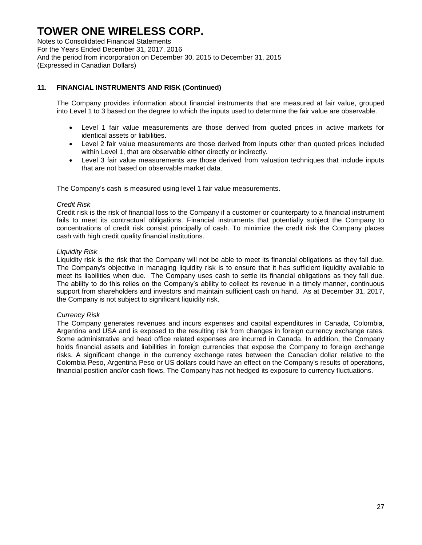Notes to Consolidated Financial Statements For the Years Ended December 31, 2017, 2016 And the period from incorporation on December 30, 2015 to December 31, 2015 (Expressed in Canadian Dollars)

## **11. FINANCIAL INSTRUMENTS AND RISK (Continued)**

The Company provides information about financial instruments that are measured at fair value, grouped into Level 1 to 3 based on the degree to which the inputs used to determine the fair value are observable.

- Level 1 fair value measurements are those derived from quoted prices in active markets for identical assets or liabilities.
- Level 2 fair value measurements are those derived from inputs other than quoted prices included within Level 1, that are observable either directly or indirectly.
- Level 3 fair value measurements are those derived from valuation techniques that include inputs that are not based on observable market data.

The Company's cash is measured using level 1 fair value measurements.

#### *Credit Risk*

Credit risk is the risk of financial loss to the Company if a customer or counterparty to a financial instrument fails to meet its contractual obligations. Financial instruments that potentially subject the Company to concentrations of credit risk consist principally of cash. To minimize the credit risk the Company places cash with high credit quality financial institutions.

#### *Liquidity Risk*

Liquidity risk is the risk that the Company will not be able to meet its financial obligations as they fall due. The Company's objective in managing liquidity risk is to ensure that it has sufficient liquidity available to meet its liabilities when due. The Company uses cash to settle its financial obligations as they fall due. The ability to do this relies on the Company's ability to collect its revenue in a timely manner, continuous support from shareholders and investors and maintain sufficient cash on hand. As at December 31, 2017, the Company is not subject to significant liquidity risk.

#### *Currency Risk*

The Company generates revenues and incurs expenses and capital expenditures in Canada, Colombia, Argentina and USA and is exposed to the resulting risk from changes in foreign currency exchange rates. Some administrative and head office related expenses are incurred in Canada. In addition, the Company holds financial assets and liabilities in foreign currencies that expose the Company to foreign exchange risks. A significant change in the currency exchange rates between the Canadian dollar relative to the Colombia Peso, Argentina Peso or US dollars could have an effect on the Company's results of operations, financial position and/or cash flows. The Company has not hedged its exposure to currency fluctuations.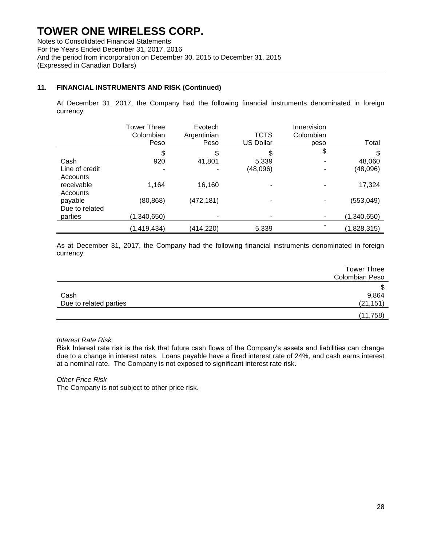Notes to Consolidated Financial Statements For the Years Ended December 31, 2017, 2016 And the period from incorporation on December 30, 2015 to December 31, 2015 (Expressed in Canadian Dollars)

## **11. FINANCIAL INSTRUMENTS AND RISK (Continued)**

At December 31, 2017, the Company had the following financial instruments denominated in foreign currency:

|                | <b>Tower Three</b><br>Colombian<br>Peso | Evotech<br>Argentinian<br>Peso | <b>TCTS</b><br><b>US Dollar</b> | Innervision<br>Colombian<br>peso | Total       |
|----------------|-----------------------------------------|--------------------------------|---------------------------------|----------------------------------|-------------|
|                | \$                                      | \$                             | \$                              | \$                               | \$          |
| Cash           | 920                                     | 41,801                         | 5,339                           | $\blacksquare$                   | 48,060      |
| Line of credit | ۰                                       |                                | (48,096)                        |                                  | (48,096)    |
| Accounts       |                                         |                                |                                 |                                  |             |
| receivable     | 1,164                                   | 16,160                         |                                 |                                  | 17,324      |
| Accounts       |                                         |                                |                                 |                                  |             |
| payable        | (80, 868)                               | (472,181)                      |                                 |                                  | (553, 049)  |
| Due to related |                                         |                                |                                 |                                  |             |
| parties        | (1,340,650)                             |                                |                                 |                                  | (1,340,650) |
|                | (1, 419, 434)                           | (414,220)                      | 5,339                           |                                  | (1,828,315) |

As at December 31, 2017, the Company had the following financial instruments denominated in foreign currency:

| <b>Tower Three</b><br><b>Colombian Peso</b> |
|---------------------------------------------|
| \$                                          |
| 9,864                                       |
| (21, 151)                                   |
| (11, 758)                                   |
|                                             |

*Interest Rate Risk*

Risk Interest rate risk is the risk that future cash flows of the Company's assets and liabilities can change due to a change in interest rates. Loans payable have a fixed interest rate of 24%, and cash earns interest at a nominal rate. The Company is not exposed to significant interest rate risk.

#### *Other Price Risk*

The Company is not subject to other price risk.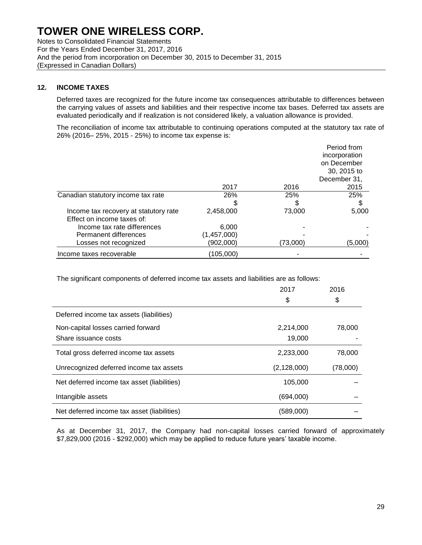Notes to Consolidated Financial Statements For the Years Ended December 31, 2017, 2016 And the period from incorporation on December 30, 2015 to December 31, 2015 (Expressed in Canadian Dollars)

#### **12. INCOME TAXES**

Deferred taxes are recognized for the future income tax consequences attributable to differences between the carrying values of assets and liabilities and their respective income tax bases. Deferred tax assets are evaluated periodically and if realization is not considered likely, a valuation allowance is provided.

The reconciliation of income tax attributable to continuing operations computed at the statutory tax rate of 26% (2016– 25%, 2015 - 25%) to income tax expense is:

|                                                                     |             |          | Period from<br>incorporation<br>on December<br>30, 2015 to<br>December 31, |
|---------------------------------------------------------------------|-------------|----------|----------------------------------------------------------------------------|
|                                                                     | 2017        | 2016     | 2015                                                                       |
| Canadian statutory income tax rate                                  | 26%         | 25%      | 25%                                                                        |
|                                                                     |             |          | \$                                                                         |
| Income tax recovery at statutory rate<br>Effect on income taxes of: | 2,458,000   | 73,000   | 5,000                                                                      |
| Income tax rate differences                                         | 6.000       |          |                                                                            |
| Permanent differences                                               | (1,457,000) |          |                                                                            |
| Losses not recognized                                               | (902,000)   | (73,000) | (5.000)                                                                    |
| Income taxes recoverable                                            | (105,000)   |          |                                                                            |

The significant components of deferred income tax assets and liabilities are as follows:

|                                             | 2017          | 2016     |
|---------------------------------------------|---------------|----------|
|                                             | \$            | \$       |
| Deferred income tax assets (liabilities)    |               |          |
| Non-capital losses carried forward          | 2,214,000     | 78,000   |
| Share issuance costs                        | 19,000        |          |
| Total gross deferred income tax assets      | 2,233,000     | 78,000   |
| Unrecognized deferred income tax assets     | (2, 128, 000) | (78,000) |
| Net deferred income tax asset (liabilities) | 105,000       |          |
| Intangible assets                           | (694,000)     |          |
| Net deferred income tax asset (liabilities) | (589,000)     |          |

As at December 31, 2017, the Company had non-capital losses carried forward of approximately \$7,829,000 (2016 - \$292,000) which may be applied to reduce future years' taxable income.